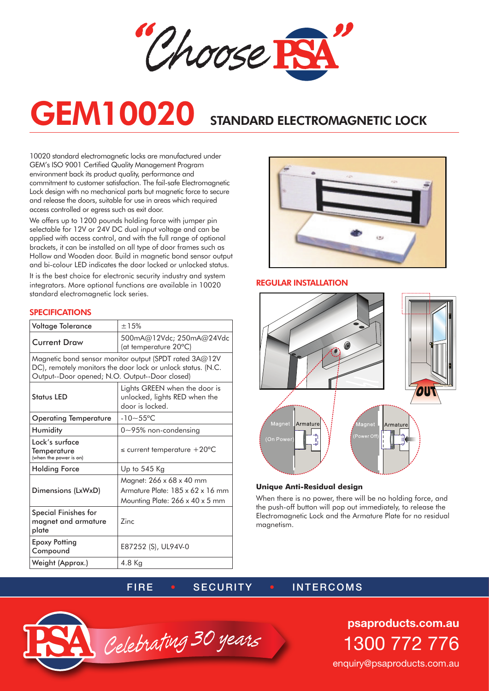Choose

# GEM10020 STANDARD ELECTROMAGNETIC LOCK

10020 standard electromagnetic locks are manufactured under GEM's ISO 9001 Certified Quality Management Program environment back its product quality, performance and commitment to customer satisfaction. The fail-safe Electromagnetic Lock design with no mechanical parts but magnetic force to secure and release the doors, suitable for use in areas which required access controlled or egress such as exit door.

We offers up to 1200 pounds holding force with jumper pin selectable for 12V or 24V DC dual input voltage and can be applied with access control, and with the full range of optional brackets, it can be installed on all type of door frames such as Hollow and Wooden door. Build in magnetic bond sensor output and bi-colour LED indicates the door locked or unlocked status.

It is the best choice for electronic security industry and system integrators. More optional functions are available in 10020 standard electromagnetic lock series.

# **SPECIFICATIONS**

| Voltage Tolerance                                                                                                                                                        | ±15%                                                                                                        |
|--------------------------------------------------------------------------------------------------------------------------------------------------------------------------|-------------------------------------------------------------------------------------------------------------|
| <b>Current Draw</b>                                                                                                                                                      | 500mA@12Vdc; 250mA@24Vdc<br>(at temperature 20°C)                                                           |
| Magnetic bond sensor monitor output (SPDT rated 3A@12V<br>DC), remotely monitors the door lock or unlock status. (N.C.<br>Output--Door opened; N.O. Output--Door closed) |                                                                                                             |
| <b>Status LED</b>                                                                                                                                                        | Lights GREEN when the door is<br>unlocked, lights RED when the<br>door is locked.                           |
| <b>Operating Temperature</b>                                                                                                                                             | $-10 - 55^{\circ}$ C                                                                                        |
| Humidity                                                                                                                                                                 | $0\neg 95\%$ non-condensing                                                                                 |
| Lock's surface<br>Temperature<br>(when the power is on)                                                                                                                  | $\leq$ current temperature +20°C                                                                            |
| <b>Holding Force</b>                                                                                                                                                     | Up to 545 Kg                                                                                                |
| Dimensions (LxWxD)                                                                                                                                                       | Magnet: 266 x 68 x 40 mm<br>Armature Plate: 185 x 62 x 16 mm<br>Mounting Plate: $266 \times 40 \times 5$ mm |
| Special Finishes for<br>magnet and armature<br>plate                                                                                                                     | 7inc                                                                                                        |
| <b>Epoxy Potting</b><br>Compound                                                                                                                                         | E87252 (S), UL94V-0                                                                                         |
| Weight (Approx.)                                                                                                                                                         | 4.8 Ka                                                                                                      |



## REGULAR INSTALLATION



### **Unique Anti-Residual design**

When there is no power, there will be no holding force, and the push-off button will pop out immediately, to release the Electromagnetic Lock and the Armature Plate for no residual magnetism.

# FIRE • SECURITY • INTERCOMS



**psaproducts.com.au** 1300 772 776

enquiry@psaproducts.com.au